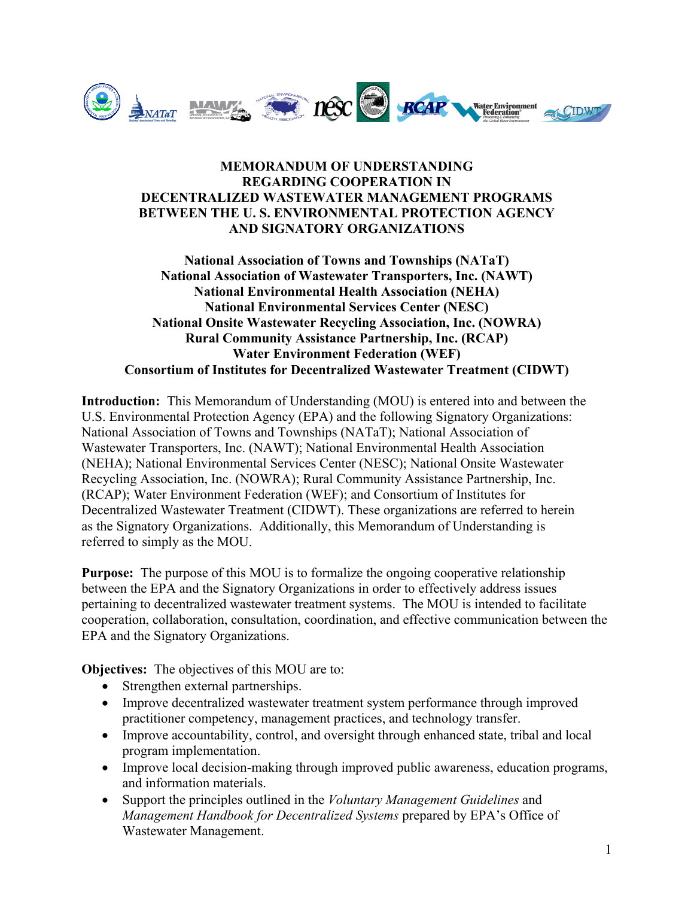

#### **MEMORANDUM OF UNDERSTANDING REGARDING COOPERATION IN DECENTRALIZED WASTEWATER MANAGEMENT PROGRAMS BETWEEN THE U. S. ENVIRONMENTAL PROTECTION AGENCY AND SIGNATORY ORGANIZATIONS**

### **National Association of Towns and Townships (NATaT) National Association of Wastewater Transporters, Inc. (NAWT) National Environmental Health Association (NEHA) National Environmental Services Center (NESC) National Onsite Wastewater Recycling Association, Inc. (NOWRA) Rural Community Assistance Partnership, Inc. (RCAP) Water Environment Federation (WEF) Consortium of Institutes for Decentralized Wastewater Treatment (CIDWT)**

**Introduction:** This Memorandum of Understanding (MOU) is entered into and between the U.S. Environmental Protection Agency (EPA) and the following Signatory Organizations: National Association of Towns and Townships (NATaT); National Association of Wastewater Transporters, Inc. (NAWT); National Environmental Health Association (NEHA); National Environmental Services Center (NESC); National Onsite Wastewater Recycling Association, Inc. (NOWRA); Rural Community Assistance Partnership, Inc. (RCAP); Water Environment Federation (WEF); and Consortium of Institutes for Decentralized Wastewater Treatment (CIDWT). These organizations are referred to herein as the Signatory Organizations. Additionally, this Memorandum of Understanding is referred to simply as the MOU.

**Purpose:** The purpose of this MOU is to formalize the ongoing cooperative relationship between the EPA and the Signatory Organizations in order to effectively address issues pertaining to decentralized wastewater treatment systems. The MOU is intended to facilitate cooperation, collaboration, consultation, coordination, and effective communication between the EPA and the Signatory Organizations.

**Objectives:** The objectives of this MOU are to:

- Strengthen external partnerships.
- Improve decentralized wastewater treatment system performance through improved practitioner competency, management practices, and technology transfer.
- Improve accountability, control, and oversight through enhanced state, tribal and local program implementation.
- Improve local decision-making through improved public awareness, education programs, and information materials.
- Support the principles outlined in the *Voluntary Management Guidelines* and *Management Handbook for Decentralized Systems* prepared by EPA's Office of Wastewater Management.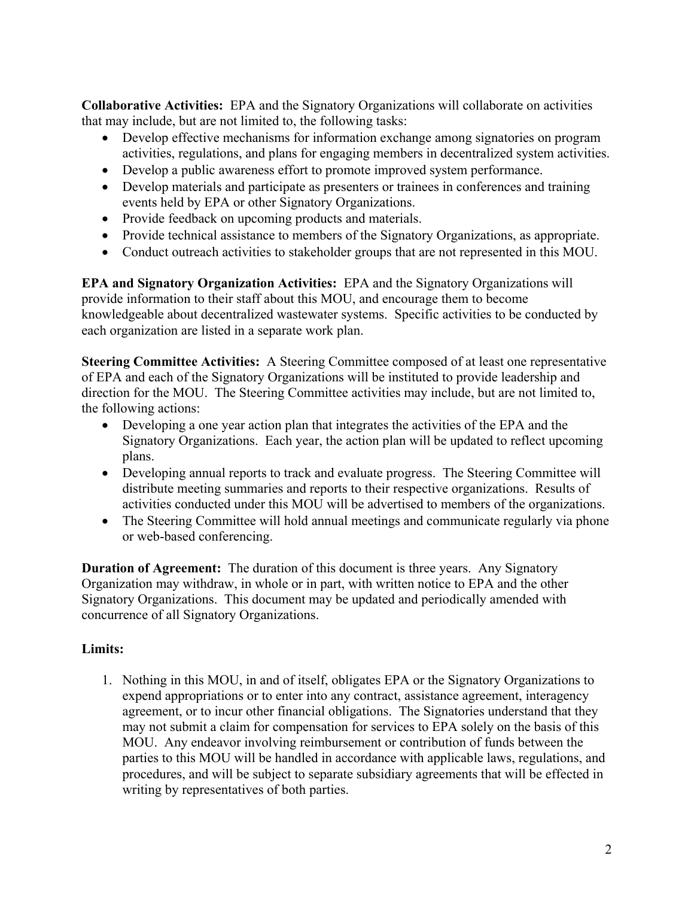**Collaborative Activities:** EPA and the Signatory Organizations will collaborate on activities that may include, but are not limited to, the following tasks:

- Develop effective mechanisms for information exchange among signatories on program activities, regulations, and plans for engaging members in decentralized system activities.
- Develop a public awareness effort to promote improved system performance.
- Develop materials and participate as presenters or trainees in conferences and training events held by EPA or other Signatory Organizations.
- Provide feedback on upcoming products and materials.
- Provide technical assistance to members of the Signatory Organizations, as appropriate.
- Conduct outreach activities to stakeholder groups that are not represented in this MOU.

**EPA and Signatory Organization Activities:** EPA and the Signatory Organizations will provide information to their staff about this MOU, and encourage them to become knowledgeable about decentralized wastewater systems.Specific activities to be conducted by each organization are listed in a separate work plan.

**Steering Committee Activities:** A Steering Committee composed of at least one representative of EPA and each of the Signatory Organizations will be instituted to provide leadership and direction for the MOU. The Steering Committee activities may include, but are not limited to, the following actions:

- Developing a one year action plan that integrates the activities of the EPA and the Signatory Organizations. Each year, the action plan will be updated to reflect upcoming plans.
- Developing annual reports to track and evaluate progress. The Steering Committee will distribute meeting summaries and reports to their respective organizations. Results of activities conducted under this MOU will be advertised to members of the organizations.
- The Steering Committee will hold annual meetings and communicate regularly via phone or web-based conferencing.

**Duration of Agreement:** The duration of this document is three years. Any Signatory Organization may withdraw, in whole or in part, with written notice to EPA and the other Signatory Organizations. This document may be updated and periodically amended with concurrence of all Signatory Organizations.

### **Limits:**

1. Nothing in this MOU, in and of itself, obligates EPA or the Signatory Organizations to expend appropriations or to enter into any contract, assistance agreement, interagency agreement, or to incur other financial obligations. The Signatories understand that they may not submit a claim for compensation for services to EPA solely on the basis of this MOU. Any endeavor involving reimbursement or contribution of funds between the parties to this MOU will be handled in accordance with applicable laws, regulations, and procedures, and will be subject to separate subsidiary agreements that will be effected in writing by representatives of both parties.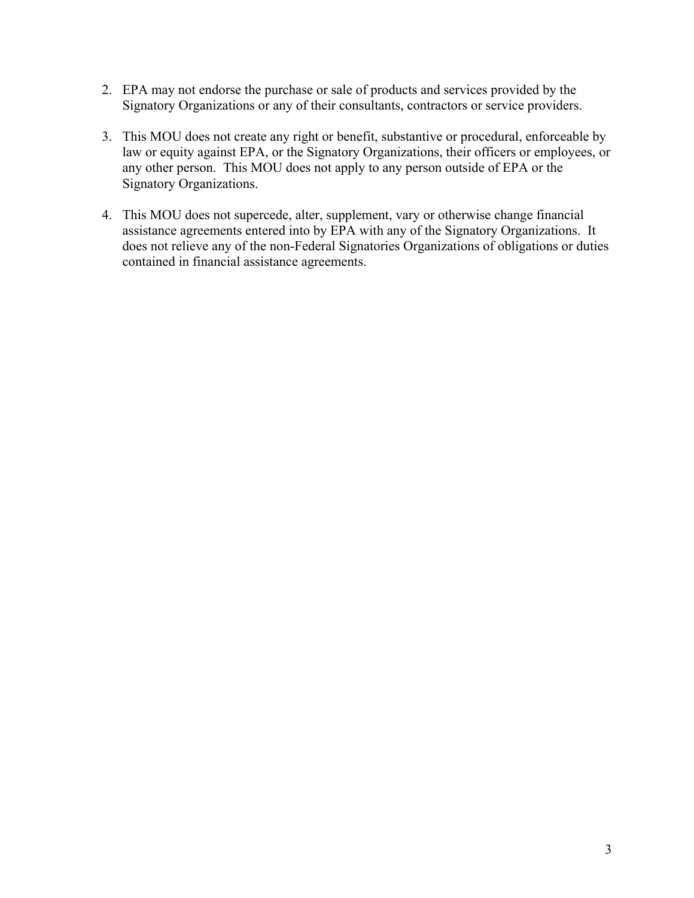- 2. EPA may not endorse the purchase or sale of products and services provided by the Signatory Organizations or any of their consultants, contractors or service providers.
- 3. This MOU does not create any right or benefit, substantive or procedural, enforceable by law or equity against EPA, or the Signatory Organizations, their officers or employees, or any other person. This MOU does not apply to any person outside of EPA or the Signatory Organizations.
- 4. This MOU does not supercede, alter, supplement, vary or otherwise change financial assistance agreements entered into by EPA with any of the Signatory Organizations. It does not relieve any of the non-Federal Signatories Organizations of obligations or duties contained in financial assistance agreements.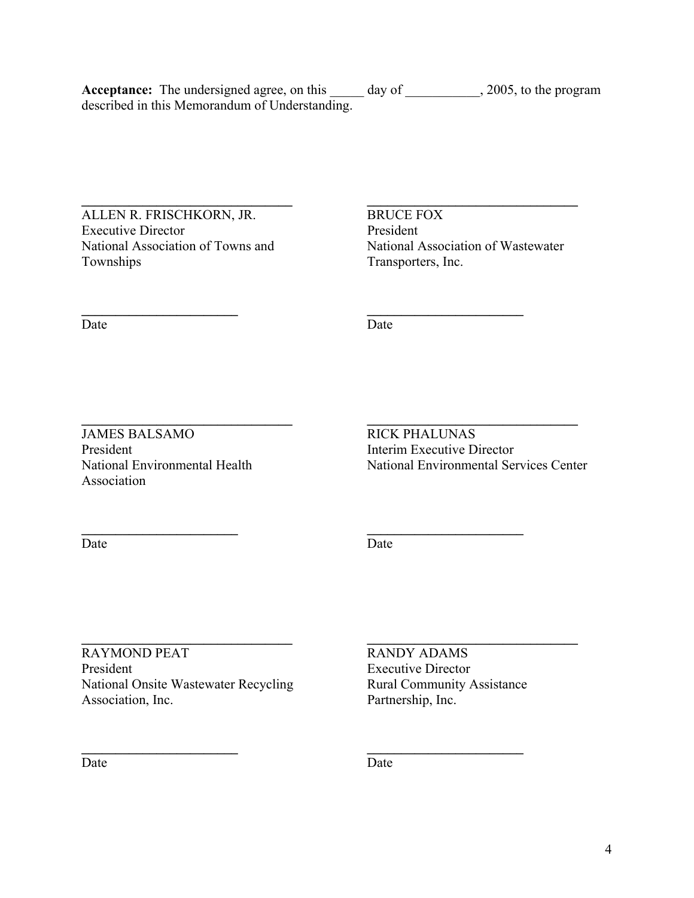Acceptance: The undersigned agree, on this \_\_\_\_\_ day of \_\_\_\_\_\_\_\_\_, 2005, to the program described in this Memorandum of Understanding.

**\_\_\_\_\_\_\_\_\_\_\_\_\_\_\_\_\_\_\_\_\_\_\_ \_\_\_\_\_\_\_\_\_\_\_\_\_\_\_\_\_\_\_\_\_\_\_**

**\_\_\_\_\_\_\_\_\_\_\_\_\_\_\_\_\_\_\_\_\_\_\_ \_\_\_\_\_\_\_\_\_\_\_\_\_\_\_\_\_\_\_\_\_\_\_**

**\_\_\_\_\_\_\_\_\_\_\_\_\_\_\_\_\_\_\_\_\_\_\_ \_\_\_\_\_\_\_\_\_\_\_\_\_\_\_\_\_\_\_\_\_\_\_**

ALLEN R. FRISCHKORN, JR. BRUCE FOX Executive Director President Townships Transporters, Inc.

**\_\_\_\_\_\_\_\_\_\_\_\_\_\_\_\_\_\_\_\_\_\_\_\_\_\_\_\_\_\_\_ \_\_\_\_\_\_\_\_\_\_\_\_\_\_\_\_\_\_\_\_\_\_\_\_\_\_\_\_\_\_\_**  National Association of Towns and National Association of Wastewater

Date Date Date

 $\mathcal{L} = \{ \mathcal{L} \mid \mathcal{L} \in \mathcal{L} \}$ JAMES BALSAMO RICK PHALUNAS President Interim Executive Director Association

National Environmental Health National Environmental Services Center

Date Date Date

 $\mathcal{L} = \{ \mathcal{L} \mid \mathcal{L} \in \mathcal{L} \}$ RAYMOND PEAT RANDY ADAMS President Executive Director National Onsite Wastewater Recycling Rural Community Assistance Association, Inc. Partnership, Inc.

Date Date Date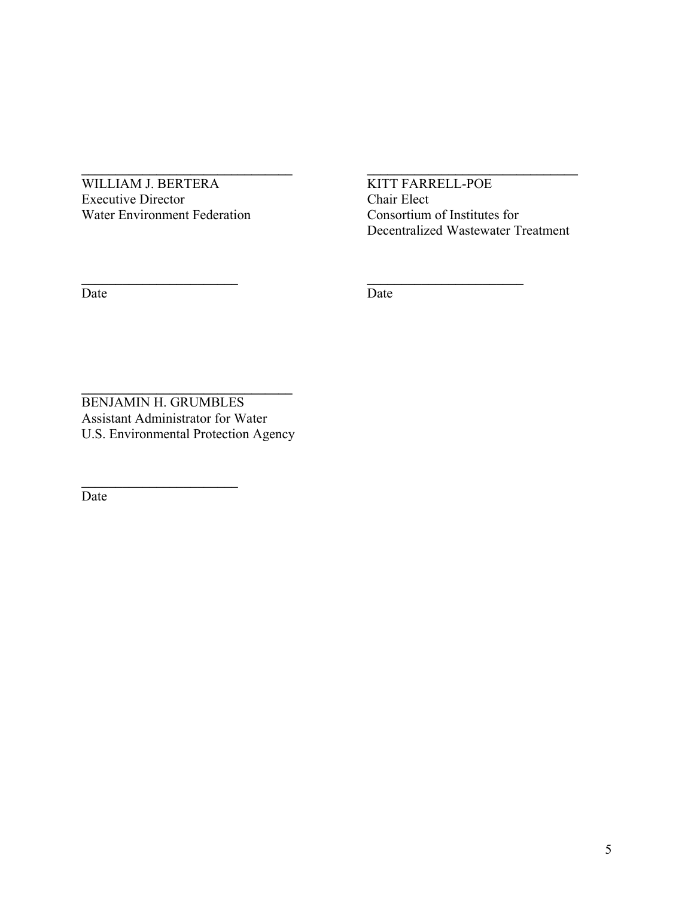WILLIAM J. BERTERA KITT FARRELL-POE Executive Director<br>
Water Environment Federation<br>
Consortium of Institutes for Water Environment Federation

Decentralized Wastewater Treatment

Date Date Date

**\_\_\_\_\_\_\_\_\_\_\_\_\_\_\_\_\_\_\_\_\_\_\_\_\_\_\_\_\_\_\_ \_\_\_\_\_\_\_\_\_\_\_\_\_\_\_\_\_\_\_\_\_\_\_\_\_\_\_\_\_\_\_** 

**\_\_\_\_\_\_\_\_\_\_\_\_\_\_\_\_\_\_\_\_\_\_\_ \_\_\_\_\_\_\_\_\_\_\_\_\_\_\_\_\_\_\_\_\_\_\_**

BENJAMIN H. GRUMBLES Assistant Administrator for Water U.S. Environmental Protection Agency

**\_\_\_\_\_\_\_\_\_\_\_\_\_\_\_\_\_\_\_\_\_\_\_** 

**\_\_\_\_\_\_\_\_\_\_\_\_\_\_\_\_\_\_\_\_\_\_\_\_\_\_\_\_\_\_\_** 

Date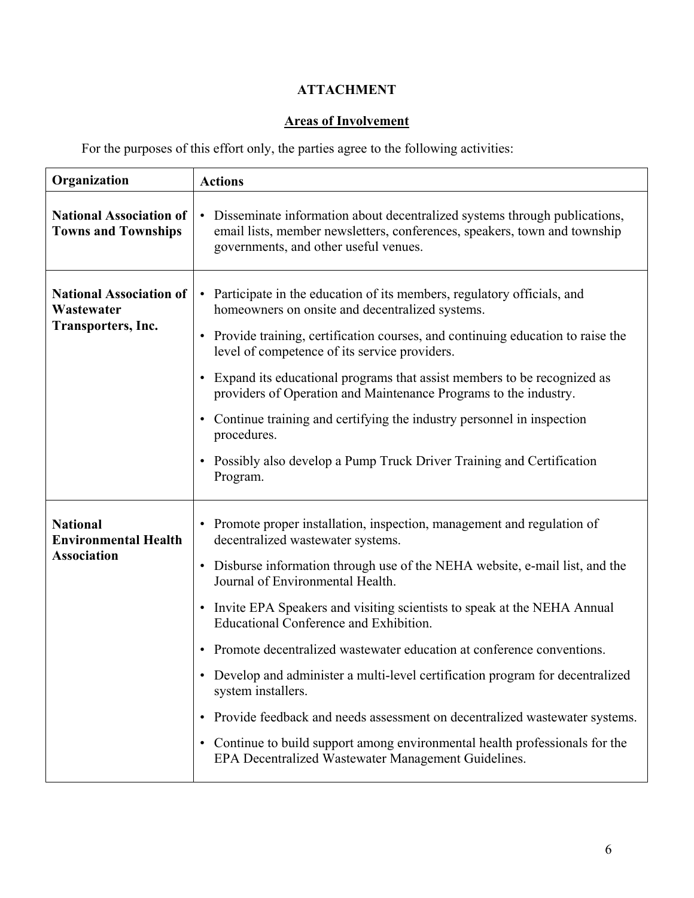# **ATTACHMENT**

# **Areas of Involvement**

For the purposes of this effort only, the parties agree to the following activities:

| Organization                                                         | <b>Actions</b>                                                                                                                                                                                                                                                                                                                                                                                                                                                                                                                                                                                                                                                                                                                                                                                                         |
|----------------------------------------------------------------------|------------------------------------------------------------------------------------------------------------------------------------------------------------------------------------------------------------------------------------------------------------------------------------------------------------------------------------------------------------------------------------------------------------------------------------------------------------------------------------------------------------------------------------------------------------------------------------------------------------------------------------------------------------------------------------------------------------------------------------------------------------------------------------------------------------------------|
| <b>National Association of</b><br><b>Towns and Townships</b>         | Disseminate information about decentralized systems through publications,<br>$\bullet$<br>email lists, member newsletters, conferences, speakers, town and township<br>governments, and other useful venues.                                                                                                                                                                                                                                                                                                                                                                                                                                                                                                                                                                                                           |
| <b>National Association of</b><br>Wastewater<br>Transporters, Inc.   | Participate in the education of its members, regulatory officials, and<br>$\bullet$<br>homeowners on onsite and decentralized systems.<br>Provide training, certification courses, and continuing education to raise the<br>$\bullet$<br>level of competence of its service providers.<br>Expand its educational programs that assist members to be recognized as<br>$\bullet$<br>providers of Operation and Maintenance Programs to the industry.<br>Continue training and certifying the industry personnel in inspection<br>$\bullet$<br>procedures.<br>Possibly also develop a Pump Truck Driver Training and Certification<br>$\bullet$<br>Program.                                                                                                                                                               |
| <b>National</b><br><b>Environmental Health</b><br><b>Association</b> | Promote proper installation, inspection, management and regulation of<br>$\bullet$<br>decentralized wastewater systems.<br>Disburse information through use of the NEHA website, e-mail list, and the<br>$\bullet$<br>Journal of Environmental Health.<br>Invite EPA Speakers and visiting scientists to speak at the NEHA Annual<br>$\bullet$<br>Educational Conference and Exhibition.<br>Promote decentralized wastewater education at conference conventions.<br>• Develop and administer a multi-level certification program for decentralized<br>system installers.<br>Provide feedback and needs assessment on decentralized wastewater systems.<br>$\bullet$<br>Continue to build support among environmental health professionals for the<br>$\bullet$<br>EPA Decentralized Wastewater Management Guidelines. |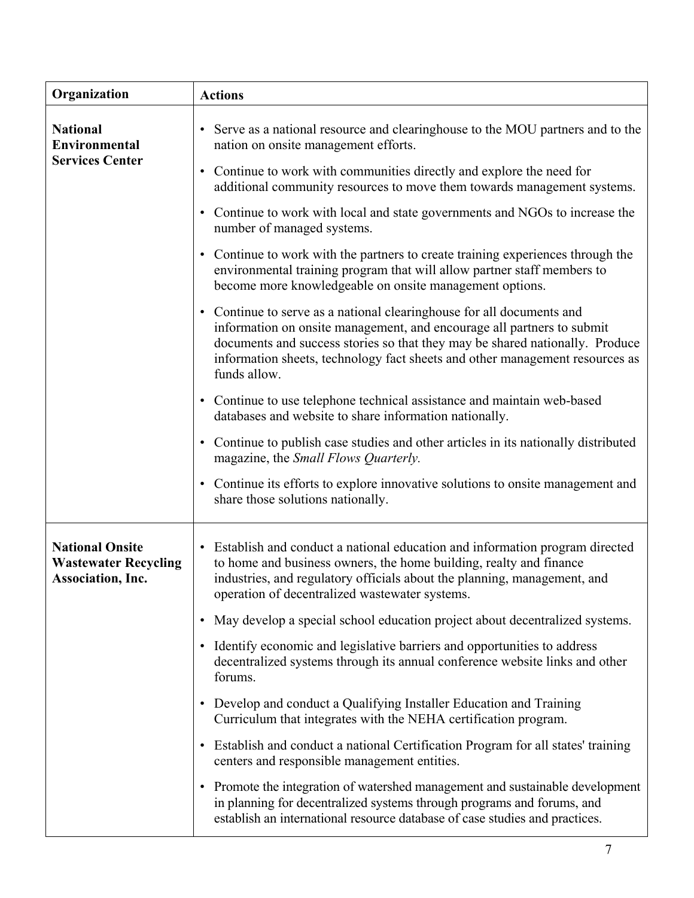| Organization                                                               | <b>Actions</b>                                                                                                                                                                                                                                                                                                                  |
|----------------------------------------------------------------------------|---------------------------------------------------------------------------------------------------------------------------------------------------------------------------------------------------------------------------------------------------------------------------------------------------------------------------------|
| <b>National</b><br><b>Environmental</b><br><b>Services Center</b>          | Serve as a national resource and clearinghouse to the MOU partners and to the<br>$\bullet$<br>nation on onsite management efforts.                                                                                                                                                                                              |
|                                                                            | Continue to work with communities directly and explore the need for<br>$\bullet$<br>additional community resources to move them towards management systems.                                                                                                                                                                     |
|                                                                            | Continue to work with local and state governments and NGOs to increase the<br>$\bullet$<br>number of managed systems.                                                                                                                                                                                                           |
|                                                                            | Continue to work with the partners to create training experiences through the<br>$\bullet$<br>environmental training program that will allow partner staff members to<br>become more knowledgeable on onsite management options.                                                                                                |
|                                                                            | • Continue to serve as a national clearinghouse for all documents and<br>information on onsite management, and encourage all partners to submit<br>documents and success stories so that they may be shared nationally. Produce<br>information sheets, technology fact sheets and other management resources as<br>funds allow. |
|                                                                            | Continue to use telephone technical assistance and maintain web-based<br>$\bullet$<br>databases and website to share information nationally.                                                                                                                                                                                    |
|                                                                            | Continue to publish case studies and other articles in its nationally distributed<br>$\bullet$<br>magazine, the <i>Small Flows Quarterly</i> .                                                                                                                                                                                  |
|                                                                            | Continue its efforts to explore innovative solutions to onsite management and<br>$\bullet$<br>share those solutions nationally.                                                                                                                                                                                                 |
| <b>National Onsite</b><br><b>Wastewater Recycling</b><br>Association, Inc. | Establish and conduct a national education and information program directed<br>$\bullet$<br>to home and business owners, the home building, realty and finance<br>industries, and regulatory officials about the planning, management, and<br>operation of decentralized wastewater systems.                                    |
|                                                                            | May develop a special school education project about decentralized systems.<br>$\bullet$                                                                                                                                                                                                                                        |
|                                                                            | Identify economic and legislative barriers and opportunities to address<br>$\bullet$<br>decentralized systems through its annual conference website links and other<br>forums.                                                                                                                                                  |
|                                                                            | Develop and conduct a Qualifying Installer Education and Training<br>$\bullet$<br>Curriculum that integrates with the NEHA certification program.                                                                                                                                                                               |
|                                                                            | Establish and conduct a national Certification Program for all states' training<br>$\bullet$<br>centers and responsible management entities.                                                                                                                                                                                    |
|                                                                            | Promote the integration of watershed management and sustainable development<br>$\bullet$<br>in planning for decentralized systems through programs and forums, and<br>establish an international resource database of case studies and practices.                                                                               |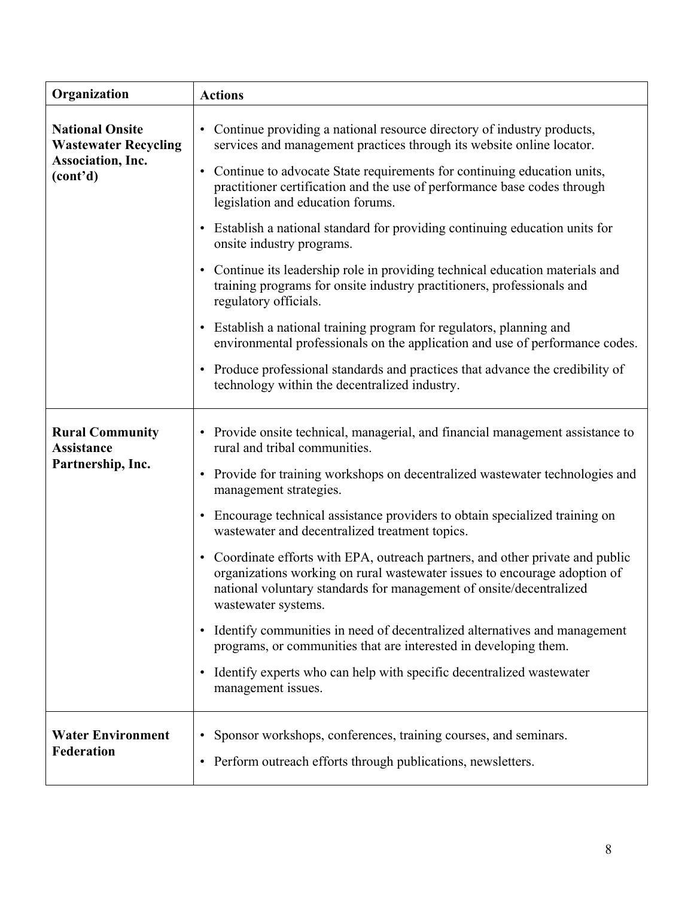| Organization                                                                                        | <b>Actions</b>                                                                                                                                                                                                                                                       |
|-----------------------------------------------------------------------------------------------------|----------------------------------------------------------------------------------------------------------------------------------------------------------------------------------------------------------------------------------------------------------------------|
| <b>National Onsite</b><br><b>Wastewater Recycling</b><br>Association, Inc.<br>(cont <sup>3</sup> d) | Continue providing a national resource directory of industry products,<br>$\bullet$<br>services and management practices through its website online locator.                                                                                                         |
|                                                                                                     | Continue to advocate State requirements for continuing education units,<br>$\bullet$<br>practitioner certification and the use of performance base codes through<br>legislation and education forums.                                                                |
|                                                                                                     | Establish a national standard for providing continuing education units for<br>$\bullet$<br>onsite industry programs.                                                                                                                                                 |
|                                                                                                     | • Continue its leadership role in providing technical education materials and<br>training programs for onsite industry practitioners, professionals and<br>regulatory officials.                                                                                     |
|                                                                                                     | Establish a national training program for regulators, planning and<br>$\bullet$<br>environmental professionals on the application and use of performance codes.                                                                                                      |
|                                                                                                     | Produce professional standards and practices that advance the credibility of<br>$\bullet$<br>technology within the decentralized industry.                                                                                                                           |
| <b>Rural Community</b><br><b>Assistance</b><br>Partnership, Inc.                                    | Provide onsite technical, managerial, and financial management assistance to<br>$\bullet$<br>rural and tribal communities.                                                                                                                                           |
|                                                                                                     | Provide for training workshops on decentralized wastewater technologies and<br>$\bullet$<br>management strategies.                                                                                                                                                   |
|                                                                                                     | Encourage technical assistance providers to obtain specialized training on<br>$\bullet$<br>wastewater and decentralized treatment topics.                                                                                                                            |
|                                                                                                     | Coordinate efforts with EPA, outreach partners, and other private and public<br>$\bullet$<br>organizations working on rural wastewater issues to encourage adoption of<br>national voluntary standards for management of onsite/decentralized<br>wastewater systems. |
|                                                                                                     | Identify communities in need of decentralized alternatives and management<br>$\bullet$<br>programs, or communities that are interested in developing them.                                                                                                           |
|                                                                                                     | Identify experts who can help with specific decentralized wastewater<br>$\bullet$<br>management issues.                                                                                                                                                              |
| <b>Water Environment</b><br>Federation                                                              | Sponsor workshops, conferences, training courses, and seminars.<br>$\bullet$<br>Perform outreach efforts through publications, newsletters.<br>$\bullet$                                                                                                             |